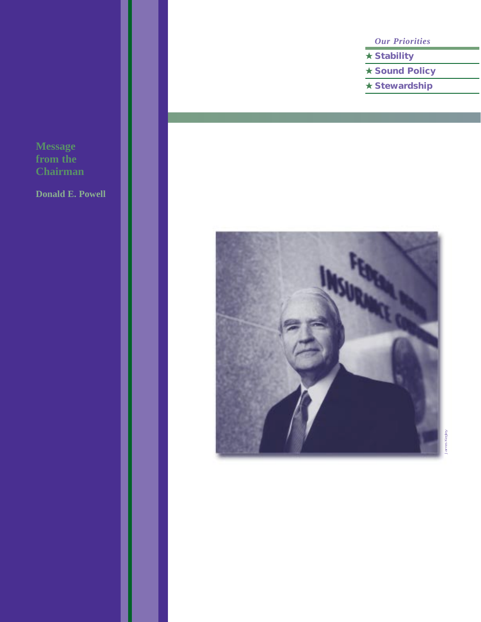**Message from the Chairman**

**Donald E. Powell** 

*Our Priorities*

- ★ **Stability**
- ★ **Sound Policy**
- ★ **Stewardship**

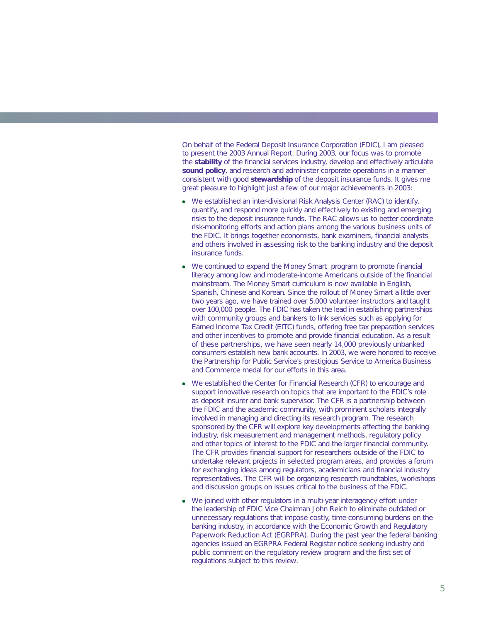On behalf of the Federal Deposit Insurance Corporation (FDIC), I am pleased to present the 2003 Annual Report. During 2003, our focus was to promote the **stability** of the financial services industry, develop and effectively articulate **sound policy**, and research and administer corporate operations in a manner consistent with good **stewardship** of the deposit insurance funds. It gives me great pleasure to highlight just a few of our major achievements in 2003:

- We established an inter-divisional Risk Analysis Center (RAC) to identify, quantify, and respond more quickly and effectively to existing and emerging risks to the deposit insurance funds. The RAC allows us to better coordinate risk-monitoring efforts and action plans among the various business units of the FDIC. It brings together economists, bank examiners, financial analysts and others involved in assessing risk to the banking industry and the deposit insurance funds.
- We continued to expand the *Money Smart* program to promote financial literacy among low and moderate-income Americans outside of the financial mainstream. The *Money Smart* curriculum is now available in English, Spanish, Chinese and Korean. Since the rollout of *Money Smart* a little over two years ago, we have trained over 5,000 volunteer instructors and taught over 100,000 people. The FDIC has taken the lead in establishing partnerships with community groups and bankers to link services such as applying for Earned Income Tax Credit (EITC) funds, offering free tax preparation services and other incentives to promote and provide financial education. As a result of these partnerships, we have seen nearly 14,000 previously unbanked consumers establish new bank accounts. In 2003, we were honored to receive the Partnership for Public Service's prestigious *Service to America Business and Commerce* medal for our efforts in this area.
- We established the Center for Financial Research (CFR) to encourage and support innovative research on topics that are important to the FDIC's role as deposit insurer and bank supervisor. The CFR is a partnership between the FDIC and the academic community, with prominent scholars integrally involved in managing and directing its research program. The research sponsored by the CFR will explore key developments affecting the banking industry, risk measurement and management methods, regulatory policy and other topics of interest to the FDIC and the larger financial community. The CFR provides financial support for researchers outside of the FDIC to undertake relevant projects in selected program areas, and provides a forum for exchanging ideas among regulators, academicians and financial industry representatives. The CFR will be organizing research roundtables, workshops and discussion groups on issues critical to the business of the FDIC.
- We joined with other regulators in a multi-year interagency effort under the leadership of FDIC Vice Chairman John Reich to eliminate outdated or unnecessary regulations that impose costly, time-consuming burdens on the banking industry, in accordance with the Economic Growth and Regulatory Paperwork Reduction Act (EGRPRA). During the past year the federal banking agencies issued an EGRPRA *Federal Register* notice seeking industry and public comment on the regulatory review program and the first set of regulations subject to this review.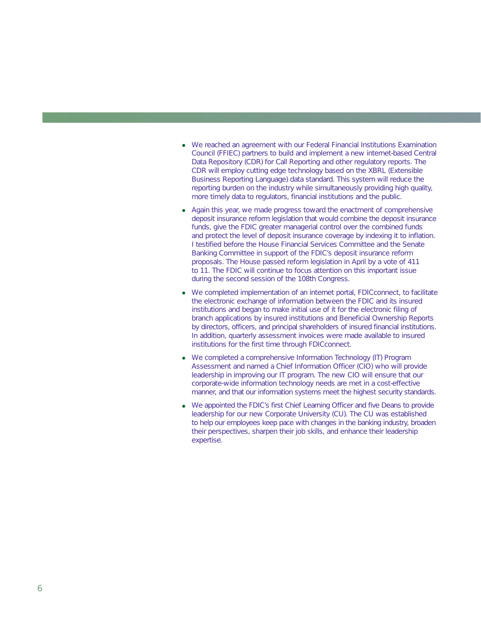- We reached an agreement with our Federal Financial Institutions Examination Council (FFIEC) partners to build and implement a new internet-based Central Data Repository (CDR) for Call Reporting and other regulatory reports. The CDR will employ cutting edge technology based on the XBRL (Extensible Business Reporting Language) data standard. This system will reduce the reporting burden on the industry while simultaneously providing high quality, more timely data to regulators, financial institutions and the public.
- Again this year, we made progress toward the enactment of comprehensive deposit insurance reform legislation that would combine the deposit insurance funds, give the FDIC greater managerial control over the combined funds and protect the level of deposit insurance coverage by indexing it to inflation. I testified before the House Financial Services Committee and the Senate Banking Committee in support of the FDIC's deposit insurance reform proposals. The House passed reform legislation in April by a vote of 411 to 11. The FDIC will continue to focus attention on this important issue during the second session of the 108th Congress.
- We completed implementation of an internet portal, FDIC*connect*, to facilitate the electronic exchange of information between the FDIC and its insured institutions and began to make initial use of it for the electronic filing of branch applications by insured institutions and Beneficial Ownership Reports by directors, officers, and principal shareholders of insured financial institutions. In addition, quarterly assessment invoices were made available to insured institutions for the first time through FDIC*connect*.
- We completed a comprehensive Information Technology (IT) Program Assessment and named a Chief Information Officer (CIO) who will provide leadership in improving our IT program. The new CIO will ensure that our corporate-wide information technology needs are met in a cost-effective manner, and that our information systems meet the highest security standards.
- We appointed the FDIC's first Chief Learning Officer and five Deans to provide leadership for our new Corporate University (CU). The CU was established to help our employees keep pace with changes in the banking industry, broaden their perspectives, sharpen their job skills, and enhance their leadership expertise.